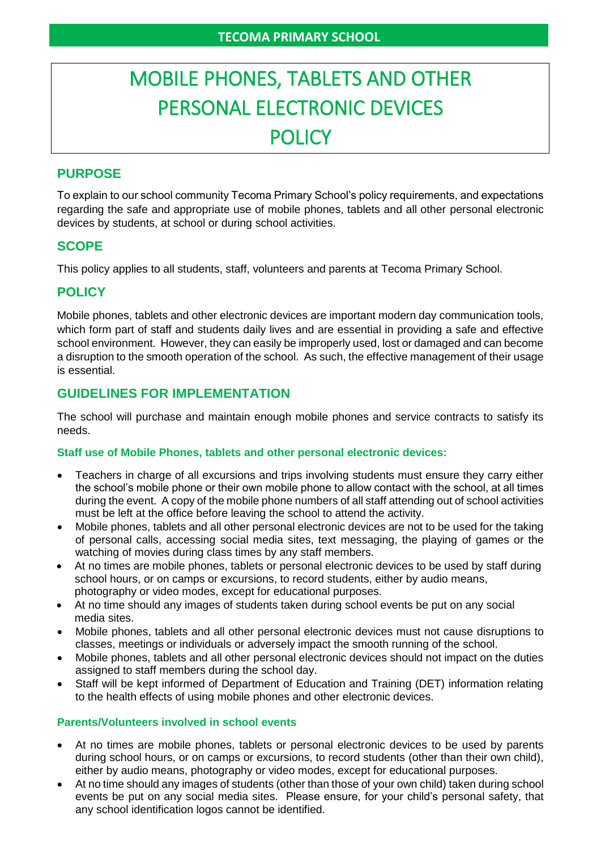# MOBILE PHONES, TABLETS AND OTHER PERSONAL ELECTRONIC DEVICES POLICY

# **PURPOSE**

To explain to our school community Tecoma Primary School's policy requirements, and expectations regarding the safe and appropriate use of mobile phones, tablets and all other personal electronic devices by students, at school or during school activities.

## **SCOPE**

This policy applies to all students, staff, volunteers and parents at Tecoma Primary School.

## **POLICY**

Mobile phones, tablets and other electronic devices are important modern day communication tools, which form part of staff and students daily lives and are essential in providing a safe and effective school environment. However, they can easily be improperly used, lost or damaged and can become a disruption to the smooth operation of the school. As such, the effective management of their usage is essential.

# **GUIDELINES FOR IMPLEMENTATION**

The school will purchase and maintain enough mobile phones and service contracts to satisfy its needs.

#### **Staff use of Mobile Phones, tablets and other personal electronic devices:**

- Teachers in charge of all excursions and trips involving students must ensure they carry either the school's mobile phone or their own mobile phone to allow contact with the school, at all times during the event. A copy of the mobile phone numbers of all staff attending out of school activities must be left at the office before leaving the school to attend the activity.
- Mobile phones, tablets and all other personal electronic devices are not to be used for the taking of personal calls, accessing social media sites, text messaging, the playing of games or the watching of movies during class times by any staff members.
- At no times are mobile phones, tablets or personal electronic devices to be used by staff during school hours, or on camps or excursions, to record students, either by audio means, photography or video modes, except for educational purposes.
- At no time should any images of students taken during school events be put on any social media sites.
- Mobile phones, tablets and all other personal electronic devices must not cause disruptions to classes, meetings or individuals or adversely impact the smooth running of the school.
- Mobile phones, tablets and all other personal electronic devices should not impact on the duties assigned to staff members during the school day.
- Staff will be kept informed of Department of Education and Training (DET) information relating to the health effects of using mobile phones and other electronic devices.

#### **Parents/Volunteers involved in school events**

- At no times are mobile phones, tablets or personal electronic devices to be used by parents during school hours, or on camps or excursions, to record students (other than their own child), either by audio means, photography or video modes, except for educational purposes.
- At no time should any images of students (other than those of your own child) taken during school events be put on any social media sites. Please ensure, for your child's personal safety, that any school identification logos cannot be identified.